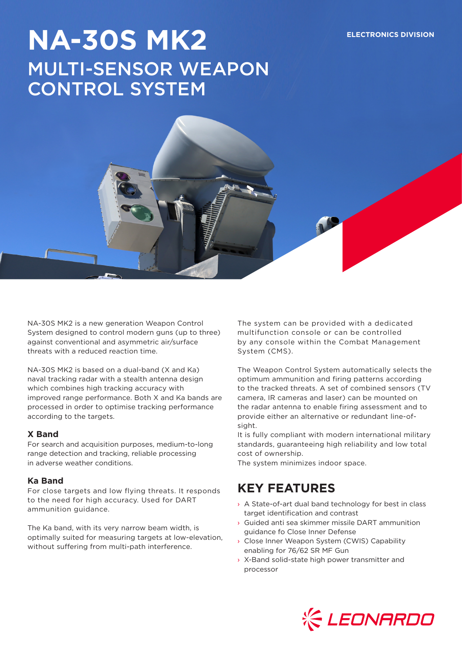# **NA-30S MK2 ELECTRONICS DIVISION** MULTI-SENSOR WEAPON CONTROL SYSTEM

NA-30S MK2 is a new generation Weapon Control System designed to control modern guns (up to three) against conventional and asymmetric air/surface threats with a reduced reaction time.

NA-30S MK2 is based on a dual-band (X and Ka) naval tracking radar with a stealth antenna design which combines high tracking accuracy with improved range performance. Both X and Ka bands are processed in order to optimise tracking performance according to the targets.

#### **X Band**

For search and acquisition purposes, medium-to-long range detection and tracking, reliable processing in adverse weather conditions.

#### **Ka Band**

For close targets and low flying threats. It responds to the need for high accuracy. Used for DART ammunition guidance.

The Ka band, with its very narrow beam width, is optimally suited for measuring targets at low-elevation, without suffering from multi-path interference.

The system can be provided with a dedicated multifunction console or can be controlled by any console within the Combat Management System (CMS).

The Weapon Control System automatically selects the optimum ammunition and firing patterns according to the tracked threats. A set of combined sensors (TV camera, IR cameras and laser) can be mounted on the radar antenna to enable firing assessment and to provide either an alternative or redundant line-ofsight.

It is fully compliant with modern international military standards, guaranteeing high reliability and low total cost of ownership.

The system minimizes indoor space.

## **KEY FEATURES**

- › A State-of-art dual band technology for best in class target identification and contrast
- › Guided anti sea skimmer missile DART ammunition guidance fo Close Inner Defense
- › Close Inner Weapon System (CWIS) Capability enabling for 76/62 SR MF Gun
- › X-Band solid-state high power transmitter and processor